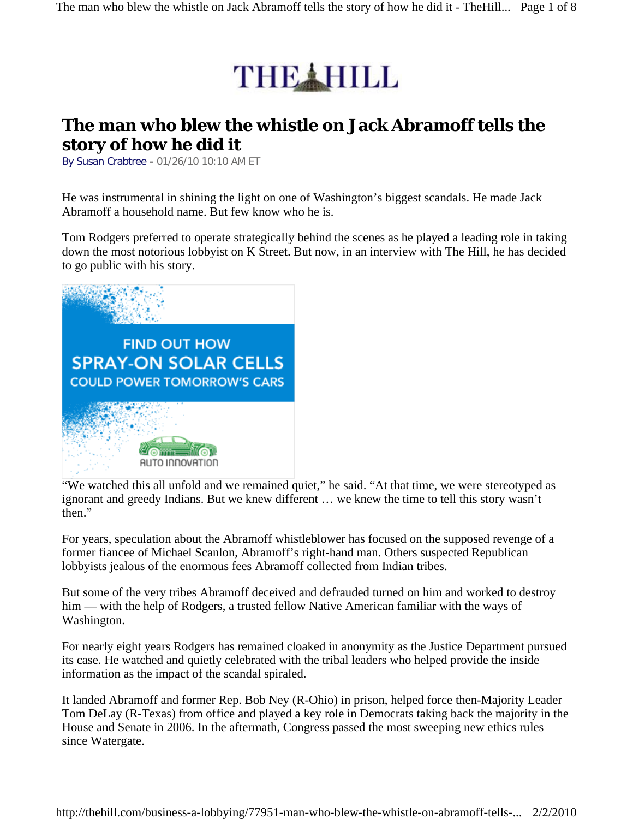

## **The man who blew the whistle on Jack Abramoff tells the story of how he did it**

By Susan Crabtree - 01/26/10 10:10 AM ET

He was instrumental in shining the light on one of Washington's biggest scandals. He made Jack Abramoff a household name. But few know who he is.

Tom Rodgers preferred to operate strategically behind the scenes as he played a leading role in taking down the most notorious lobbyist on K Street. But now, in an interview with The Hill, he has decided to go public with his story.



"We watched this all unfold and we remained quiet," he said. "At that time, we were stereotyped as ignorant and greedy Indians. But we knew different … we knew the time to tell this story wasn't then."

For years, speculation about the Abramoff whistleblower has focused on the supposed revenge of a former fiancee of Michael Scanlon, Abramoff's right-hand man. Others suspected Republican lobbyists jealous of the enormous fees Abramoff collected from Indian tribes.

But some of the very tribes Abramoff deceived and defrauded turned on him and worked to destroy him — with the help of Rodgers, a trusted fellow Native American familiar with the ways of Washington.

For nearly eight years Rodgers has remained cloaked in anonymity as the Justice Department pursued its case. He watched and quietly celebrated with the tribal leaders who helped provide the inside information as the impact of the scandal spiraled.

It landed Abramoff and former Rep. Bob Ney (R-Ohio) in prison, helped force then-Majority Leader Tom DeLay (R-Texas) from office and played a key role in Democrats taking back the majority in the House and Senate in 2006. In the aftermath, Congress passed the most sweeping new ethics rules since Watergate.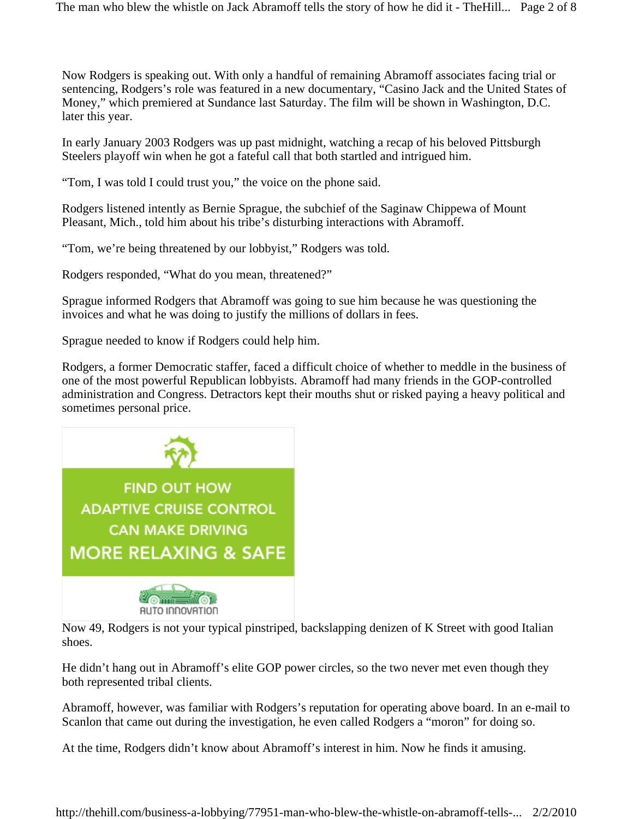The man who blew the whistle on Jack Abramoff tells the story of how he did it - TheHill... Page 2 of 8

Now Rodgers is speaking out. With only a handful of remaining Abramoff associates facing trial or sentencing, Rodgers's role was featured in a new documentary, "Casino Jack and the United States of Money," which premiered at Sundance last Saturday. The film will be shown in Washington, D.C. later this year.

In early January 2003 Rodgers was up past midnight, watching a recap of his beloved Pittsburgh Steelers playoff win when he got a fateful call that both startled and intrigued him.

"Tom, I was told I could trust you," the voice on the phone said.

Rodgers listened intently as Bernie Sprague, the subchief of the Saginaw Chippewa of Mount Pleasant, Mich., told him about his tribe's disturbing interactions with Abramoff.

"Tom, we're being threatened by our lobbyist," Rodgers was told.

Rodgers responded, "What do you mean, threatened?"

Sprague informed Rodgers that Abramoff was going to sue him because he was questioning the invoices and what he was doing to justify the millions of dollars in fees.

Sprague needed to know if Rodgers could help him.

Rodgers, a former Democratic staffer, faced a difficult choice of whether to meddle in the business of one of the most powerful Republican lobbyists. Abramoff had many friends in the GOP-controlled administration and Congress. Detractors kept their mouths shut or risked paying a heavy political and sometimes personal price.





Now 49, Rodgers is not your typical pinstriped, backslapping denizen of K Street with good Italian shoes.

He didn't hang out in Abramoff's elite GOP power circles, so the two never met even though they both represented tribal clients.

Abramoff, however, was familiar with Rodgers's reputation for operating above board. In an e-mail to Scanlon that came out during the investigation, he even called Rodgers a "moron" for doing so.

At the time, Rodgers didn't know about Abramoff's interest in him. Now he finds it amusing.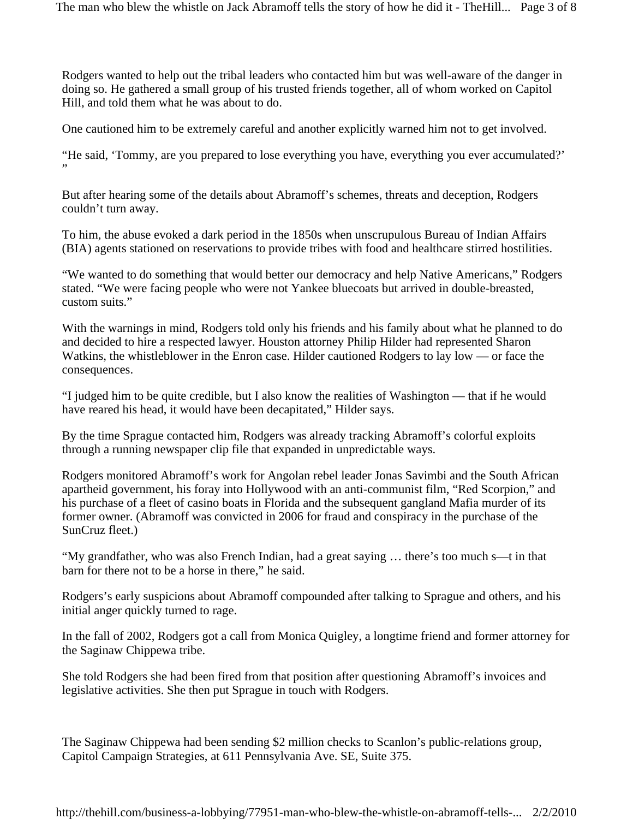Rodgers wanted to help out the tribal leaders who contacted him but was well-aware of the danger in doing so. He gathered a small group of his trusted friends together, all of whom worked on Capitol Hill, and told them what he was about to do.

One cautioned him to be extremely careful and another explicitly warned him not to get involved.

"He said, 'Tommy, are you prepared to lose everything you have, everything you ever accumulated?' "

But after hearing some of the details about Abramoff's schemes, threats and deception, Rodgers couldn't turn away.

To him, the abuse evoked a dark period in the 1850s when unscrupulous Bureau of Indian Affairs (BIA) agents stationed on reservations to provide tribes with food and healthcare stirred hostilities.

"We wanted to do something that would better our democracy and help Native Americans," Rodgers stated. "We were facing people who were not Yankee bluecoats but arrived in double-breasted, custom suits."

With the warnings in mind, Rodgers told only his friends and his family about what he planned to do and decided to hire a respected lawyer. Houston attorney Philip Hilder had represented Sharon Watkins, the whistleblower in the Enron case. Hilder cautioned Rodgers to lay low — or face the consequences.

"I judged him to be quite credible, but I also know the realities of Washington — that if he would have reared his head, it would have been decapitated," Hilder says.

By the time Sprague contacted him, Rodgers was already tracking Abramoff's colorful exploits through a running newspaper clip file that expanded in unpredictable ways.

Rodgers monitored Abramoff's work for Angolan rebel leader Jonas Savimbi and the South African apartheid government, his foray into Hollywood with an anti-communist film, "Red Scorpion," and his purchase of a fleet of casino boats in Florida and the subsequent gangland Mafia murder of its former owner. (Abramoff was convicted in 2006 for fraud and conspiracy in the purchase of the SunCruz fleet.)

"My grandfather, who was also French Indian, had a great saying … there's too much s—t in that barn for there not to be a horse in there," he said.

Rodgers's early suspicions about Abramoff compounded after talking to Sprague and others, and his initial anger quickly turned to rage.

In the fall of 2002, Rodgers got a call from Monica Quigley, a longtime friend and former attorney for the Saginaw Chippewa tribe.

She told Rodgers she had been fired from that position after questioning Abramoff's invoices and legislative activities. She then put Sprague in touch with Rodgers.

The Saginaw Chippewa had been sending \$2 million checks to Scanlon's public-relations group, Capitol Campaign Strategies, at 611 Pennsylvania Ave. SE, Suite 375.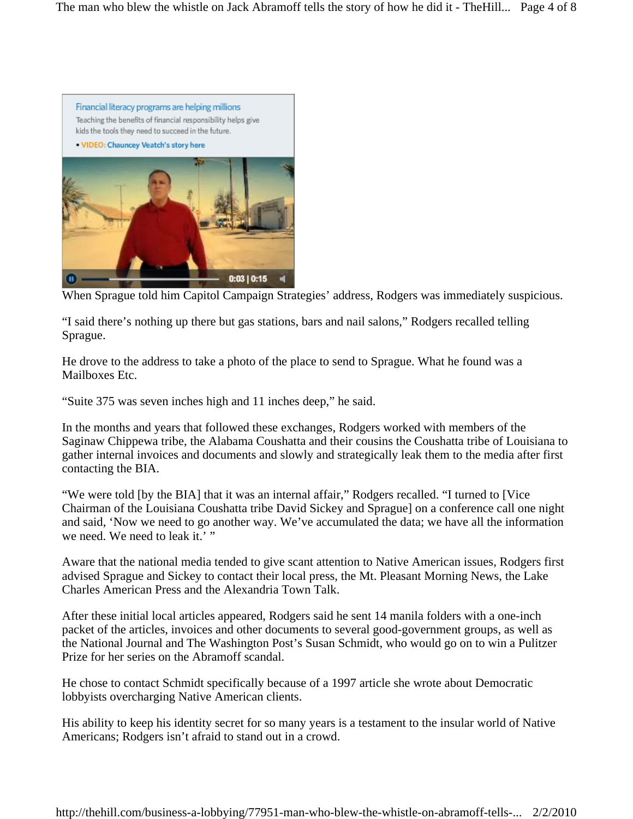

When Sprague told him Capitol Campaign Strategies' address, Rodgers was immediately suspicious.

"I said there's nothing up there but gas stations, bars and nail salons," Rodgers recalled telling Sprague.

He drove to the address to take a photo of the place to send to Sprague. What he found was a Mailboxes Etc.

"Suite 375 was seven inches high and 11 inches deep," he said.

In the months and years that followed these exchanges, Rodgers worked with members of the Saginaw Chippewa tribe, the Alabama Coushatta and their cousins the Coushatta tribe of Louisiana to gather internal invoices and documents and slowly and strategically leak them to the media after first contacting the BIA.

"We were told [by the BIA] that it was an internal affair," Rodgers recalled. "I turned to [Vice Chairman of the Louisiana Coushatta tribe David Sickey and Sprague] on a conference call one night and said, 'Now we need to go another way. We've accumulated the data; we have all the information we need. We need to leak it.' "

Aware that the national media tended to give scant attention to Native American issues, Rodgers first advised Sprague and Sickey to contact their local press, the Mt. Pleasant Morning News, the Lake Charles American Press and the Alexandria Town Talk.

After these initial local articles appeared, Rodgers said he sent 14 manila folders with a one-inch packet of the articles, invoices and other documents to several good-government groups, as well as the National Journal and The Washington Post's Susan Schmidt, who would go on to win a Pulitzer Prize for her series on the Abramoff scandal.

He chose to contact Schmidt specifically because of a 1997 article she wrote about Democratic lobbyists overcharging Native American clients.

His ability to keep his identity secret for so many years is a testament to the insular world of Native Americans; Rodgers isn't afraid to stand out in a crowd.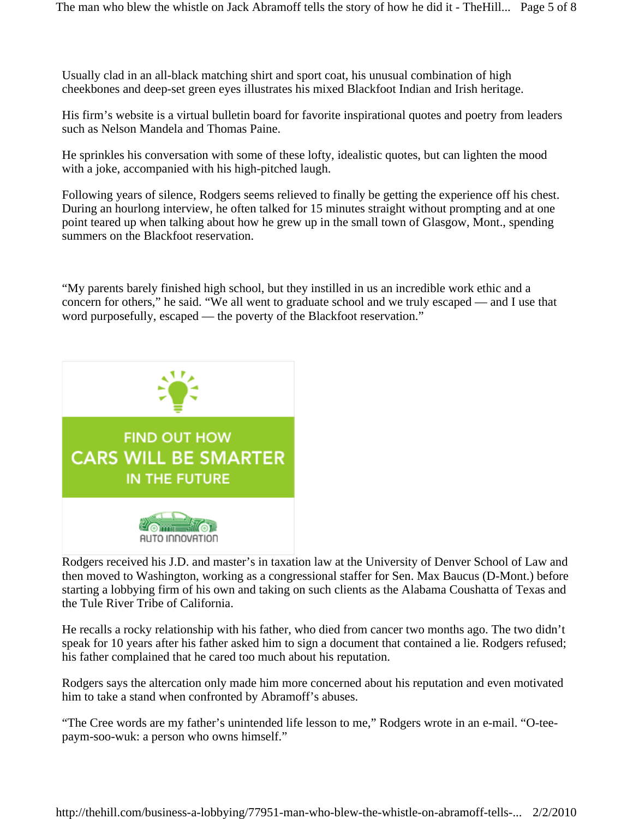Usually clad in an all-black matching shirt and sport coat, his unusual combination of high cheekbones and deep-set green eyes illustrates his mixed Blackfoot Indian and Irish heritage.

His firm's website is a virtual bulletin board for favorite inspirational quotes and poetry from leaders such as Nelson Mandela and Thomas Paine.

He sprinkles his conversation with some of these lofty, idealistic quotes, but can lighten the mood with a joke, accompanied with his high-pitched laugh.

Following years of silence, Rodgers seems relieved to finally be getting the experience off his chest. During an hourlong interview, he often talked for 15 minutes straight without prompting and at one point teared up when talking about how he grew up in the small town of Glasgow, Mont., spending summers on the Blackfoot reservation.

"My parents barely finished high school, but they instilled in us an incredible work ethic and a concern for others," he said. "We all went to graduate school and we truly escaped — and I use that word purposefully, escaped — the poverty of the Blackfoot reservation."



Rodgers received his J.D. and master's in taxation law at the University of Denver School of Law and then moved to Washington, working as a congressional staffer for Sen. Max Baucus (D-Mont.) before starting a lobbying firm of his own and taking on such clients as the Alabama Coushatta of Texas and the Tule River Tribe of California.

He recalls a rocky relationship with his father, who died from cancer two months ago. The two didn't speak for 10 years after his father asked him to sign a document that contained a lie. Rodgers refused; his father complained that he cared too much about his reputation.

Rodgers says the altercation only made him more concerned about his reputation and even motivated him to take a stand when confronted by Abramoff's abuses.

"The Cree words are my father's unintended life lesson to me," Rodgers wrote in an e-mail. "O-teepaym-soo-wuk: a person who owns himself."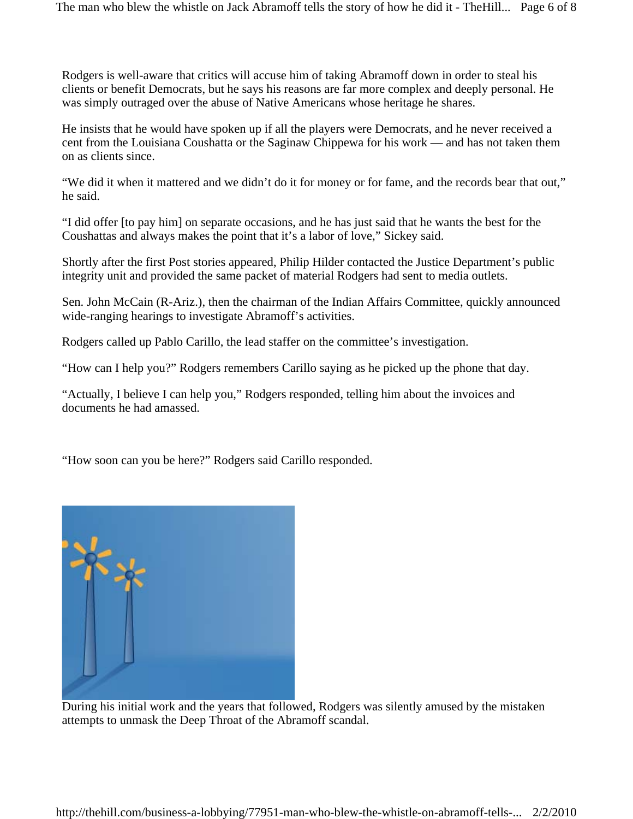The man who blew the whistle on Jack Abramoff tells the story of how he did it - TheHill... Page 6 of 8

Rodgers is well-aware that critics will accuse him of taking Abramoff down in order to steal his clients or benefit Democrats, but he says his reasons are far more complex and deeply personal. He was simply outraged over the abuse of Native Americans whose heritage he shares.

He insists that he would have spoken up if all the players were Democrats, and he never received a cent from the Louisiana Coushatta or the Saginaw Chippewa for his work — and has not taken them on as clients since.

"We did it when it mattered and we didn't do it for money or for fame, and the records bear that out," he said.

"I did offer [to pay him] on separate occasions, and he has just said that he wants the best for the Coushattas and always makes the point that it's a labor of love," Sickey said.

Shortly after the first Post stories appeared, Philip Hilder contacted the Justice Department's public integrity unit and provided the same packet of material Rodgers had sent to media outlets.

Sen. John McCain (R-Ariz.), then the chairman of the Indian Affairs Committee, quickly announced wide-ranging hearings to investigate Abramoff's activities.

Rodgers called up Pablo Carillo, the lead staffer on the committee's investigation.

"How can I help you?" Rodgers remembers Carillo saying as he picked up the phone that day.

"Actually, I believe I can help you," Rodgers responded, telling him about the invoices and documents he had amassed.

"How soon can you be here?" Rodgers said Carillo responded.



During his initial work and the years that followed, Rodgers was silently amused by the mistaken attempts to unmask the Deep Throat of the Abramoff scandal.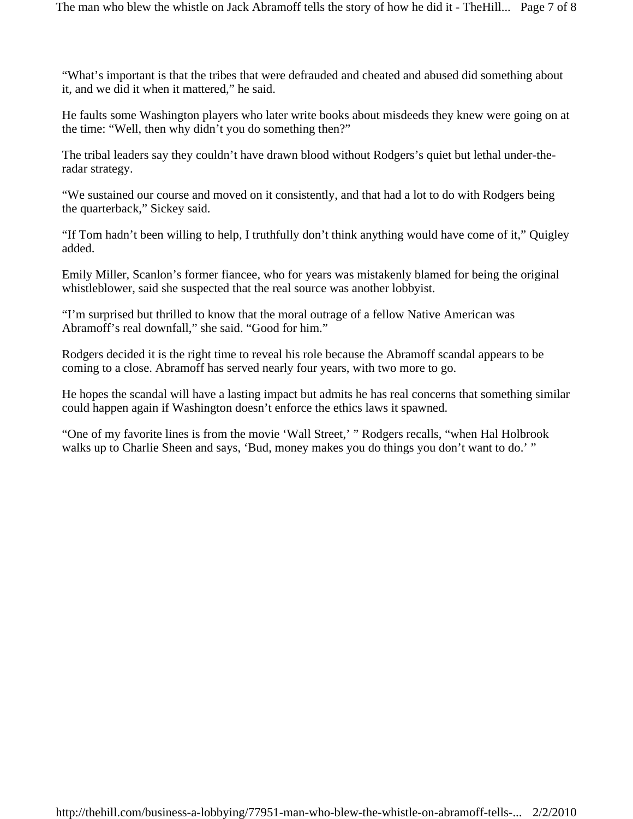"What's important is that the tribes that were defrauded and cheated and abused did something about it, and we did it when it mattered," he said.

He faults some Washington players who later write books about misdeeds they knew were going on at the time: "Well, then why didn't you do something then?"

The tribal leaders say they couldn't have drawn blood without Rodgers's quiet but lethal under-theradar strategy.

"We sustained our course and moved on it consistently, and that had a lot to do with Rodgers being the quarterback," Sickey said.

"If Tom hadn't been willing to help, I truthfully don't think anything would have come of it," Quigley added.

Emily Miller, Scanlon's former fiancee, who for years was mistakenly blamed for being the original whistleblower, said she suspected that the real source was another lobbyist.

"I'm surprised but thrilled to know that the moral outrage of a fellow Native American was Abramoff's real downfall," she said. "Good for him."

Rodgers decided it is the right time to reveal his role because the Abramoff scandal appears to be coming to a close. Abramoff has served nearly four years, with two more to go.

He hopes the scandal will have a lasting impact but admits he has real concerns that something similar could happen again if Washington doesn't enforce the ethics laws it spawned.

"One of my favorite lines is from the movie 'Wall Street,' " Rodgers recalls, "when Hal Holbrook walks up to Charlie Sheen and says, 'Bud, money makes you do things you don't want to do.' "